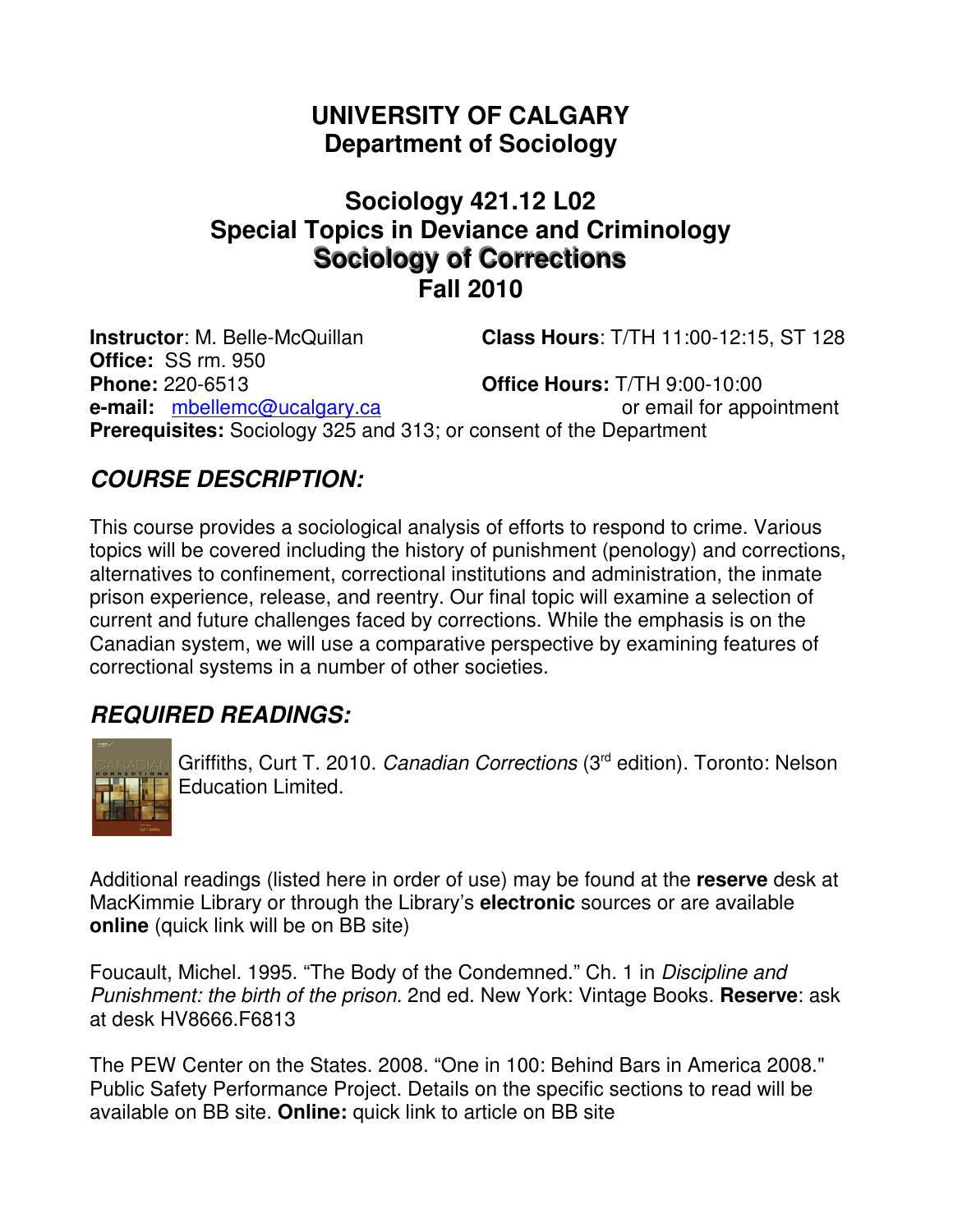# **UNIVERSITY OF CALGARY Department of Sociology**

## **Sociology 421.12 L02 Special Topics in Deviance and Criminology Sociology of Corrections Fall 2010**

**Instructor**: M. Belle-McQuillan **Class Hours**: T/TH 11:00-12:15, ST 128 **Office:** SS rm. 950 **Phone:** 220-6513 **Office Hours:** T/TH 9:00-10:00 **e-mail:** mbellemc@ucalgary.ca or email for appointment **Prerequisites:** Sociology 325 and 313; or consent of the Department

## **COURSE DESCRIPTION:**

This course provides a sociological analysis of efforts to respond to crime. Various topics will be covered including the history of punishment (penology) and corrections, alternatives to confinement, correctional institutions and administration, the inmate prison experience, release, and reentry. Our final topic will examine a selection of current and future challenges faced by corrections. While the emphasis is on the Canadian system, we will use a comparative perspective by examining features of correctional systems in a number of other societies.

## **REQUIRED READINGS:**



Griffiths, Curt T. 2010. Canadian Corrections (3<sup>rd</sup> edition). Toronto: Nelson Education Limited.

Additional readings (listed here in order of use) may be found at the **reserve** desk at MacKimmie Library or through the Library's **electronic** sources or are available **online** (quick link will be on BB site)

Foucault, Michel. 1995. "The Body of the Condemned." Ch. 1 in Discipline and Punishment: the birth of the prison. 2nd ed. New York: Vintage Books. **Reserve**: ask at desk HV8666.F6813

The PEW Center on the States. 2008. "One in 100: Behind Bars in America 2008." Public Safety Performance Project. Details on the specific sections to read will be available on BB site. **Online:** quick link to article on BB site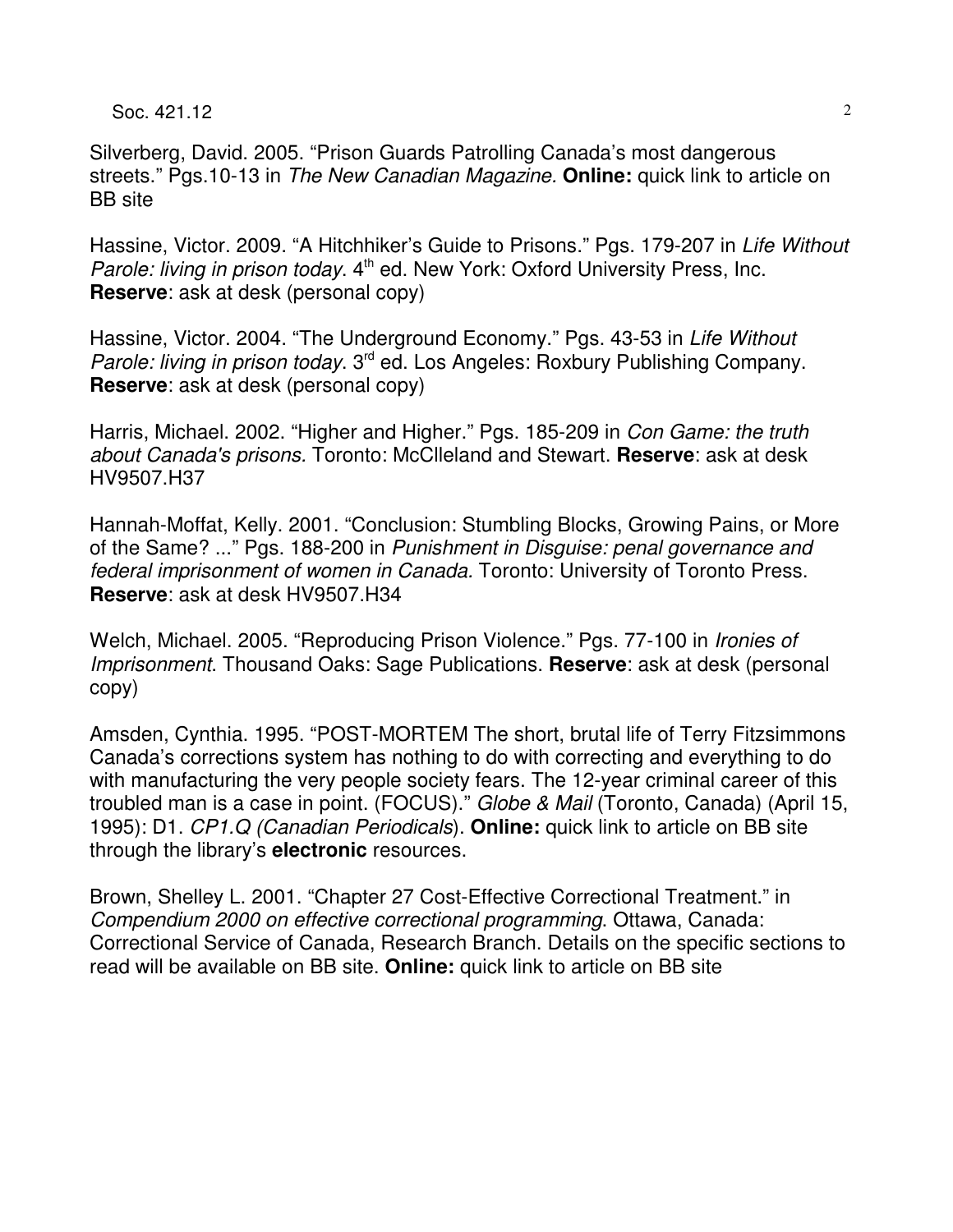Soc.  $421.12$  2

Silverberg, David. 2005. "Prison Guards Patrolling Canada's most dangerous streets." Pgs.10-13 in The New Canadian Magazine. **Online:** quick link to article on BB site

Hassine, Victor. 2009. "A Hitchhiker's Guide to Prisons." Pgs. 179-207 in Life Without Parole: living in prison today. 4<sup>th</sup> ed. New York: Oxford University Press, Inc. **Reserve**: ask at desk (personal copy)

Hassine, Victor. 2004. "The Underground Economy." Pgs. 43-53 in Life Without Parole: living in prison today. 3<sup>rd</sup> ed. Los Angeles: Roxbury Publishing Company. **Reserve**: ask at desk (personal copy)

Harris, Michael. 2002. "Higher and Higher." Pgs. 185-209 in Con Game: the truth about Canada's prisons. Toronto: McClleland and Stewart. **Reserve**: ask at desk HV9507.H37

Hannah-Moffat, Kelly. 2001. "Conclusion: Stumbling Blocks, Growing Pains, or More of the Same? ..." Pgs. 188-200 in Punishment in Disguise: penal governance and federal imprisonment of women in Canada. Toronto: University of Toronto Press. **Reserve**: ask at desk HV9507.H34

Welch, Michael. 2005. "Reproducing Prison Violence." Pgs. 77-100 in Ironies of Imprisonment. Thousand Oaks: Sage Publications. **Reserve**: ask at desk (personal copy)

Amsden, Cynthia. 1995. "POST-MORTEM The short, brutal life of Terry Fitzsimmons Canada's corrections system has nothing to do with correcting and everything to do with manufacturing the very people society fears. The 12-year criminal career of this troubled man is a case in point. (FOCUS)." Globe & Mail (Toronto, Canada) (April 15, 1995): D1. CP1.Q (Canadian Periodicals). **Online:** quick link to article on BB site through the library's **electronic** resources.

Brown, Shelley L. 2001. "Chapter 27 Cost-Effective Correctional Treatment." in Compendium 2000 on effective correctional programming. Ottawa, Canada: Correctional Service of Canada, Research Branch. Details on the specific sections to read will be available on BB site. **Online:** quick link to article on BB site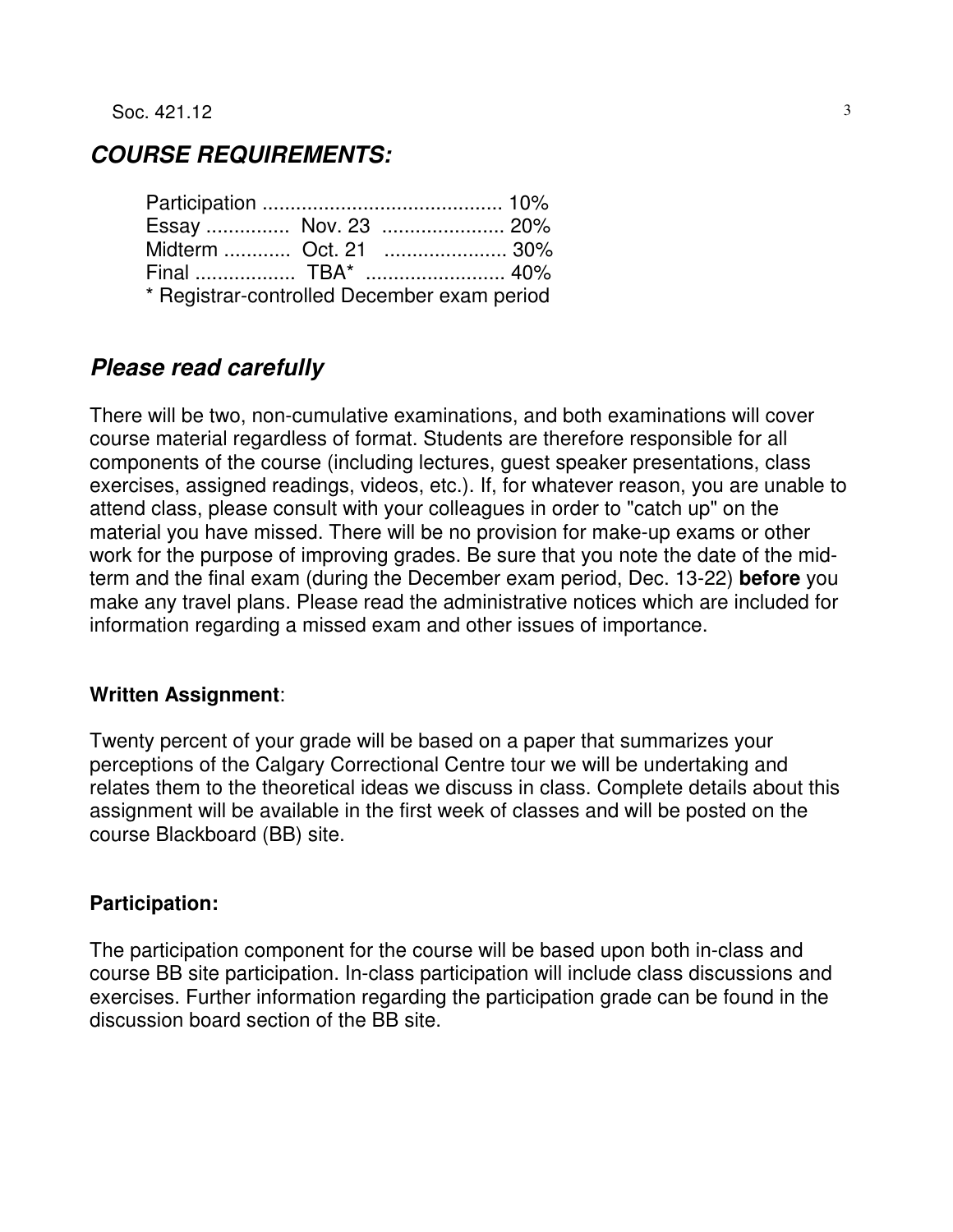## **COURSE REQUIREMENTS:**

| Essay  Nov. 23  20%                         |  |  |  |  |
|---------------------------------------------|--|--|--|--|
| Midterm  Oct. 21  30%                       |  |  |  |  |
|                                             |  |  |  |  |
| * Registrar-controlled December exam period |  |  |  |  |

## **Please read carefully**

There will be two, non-cumulative examinations, and both examinations will cover course material regardless of format. Students are therefore responsible for all components of the course (including lectures, guest speaker presentations, class exercises, assigned readings, videos, etc.). If, for whatever reason, you are unable to attend class, please consult with your colleagues in order to "catch up" on the material you have missed. There will be no provision for make-up exams or other work for the purpose of improving grades. Be sure that you note the date of the midterm and the final exam (during the December exam period, Dec. 13-22) **before** you make any travel plans. Please read the administrative notices which are included for information regarding a missed exam and other issues of importance.

#### **Written Assignment**:

Twenty percent of your grade will be based on a paper that summarizes your perceptions of the Calgary Correctional Centre tour we will be undertaking and relates them to the theoretical ideas we discuss in class. Complete details about this assignment will be available in the first week of classes and will be posted on the course Blackboard (BB) site.

#### **Participation:**

The participation component for the course will be based upon both in-class and course BB site participation. In-class participation will include class discussions and exercises. Further information regarding the participation grade can be found in the discussion board section of the BB site.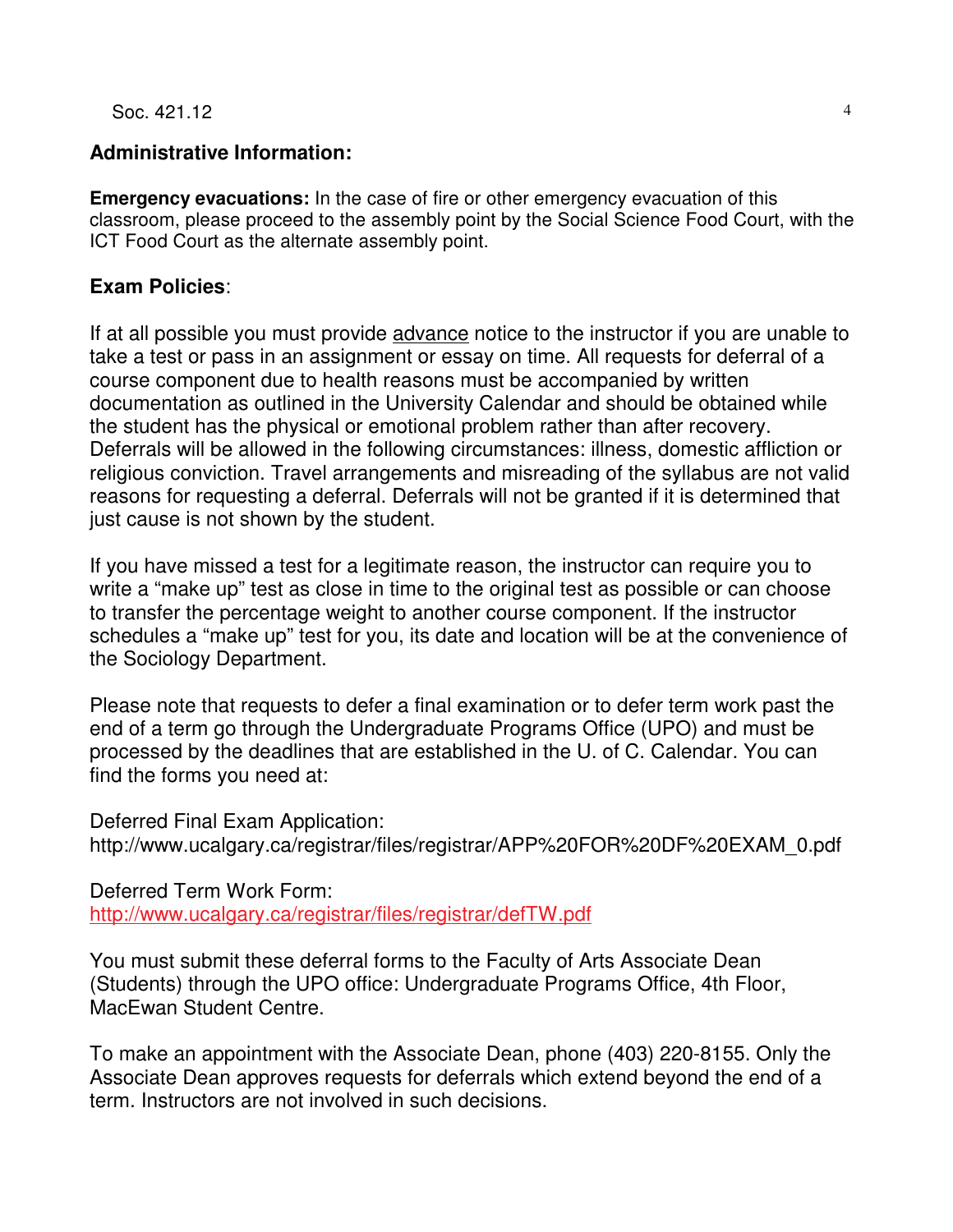Soc.  $421.12$  4

#### **Administrative Information:**

**Emergency evacuations:** In the case of fire or other emergency evacuation of this classroom, please proceed to the assembly point by the Social Science Food Court, with the ICT Food Court as the alternate assembly point.

#### **Exam Policies**:

If at all possible you must provide advance notice to the instructor if you are unable to take a test or pass in an assignment or essay on time. All requests for deferral of a course component due to health reasons must be accompanied by written documentation as outlined in the University Calendar and should be obtained while the student has the physical or emotional problem rather than after recovery. Deferrals will be allowed in the following circumstances: illness, domestic affliction or religious conviction. Travel arrangements and misreading of the syllabus are not valid reasons for requesting a deferral. Deferrals will not be granted if it is determined that just cause is not shown by the student.

If you have missed a test for a legitimate reason, the instructor can require you to write a "make up" test as close in time to the original test as possible or can choose to transfer the percentage weight to another course component. If the instructor schedules a "make up" test for you, its date and location will be at the convenience of the Sociology Department.

Please note that requests to defer a final examination or to defer term work past the end of a term go through the Undergraduate Programs Office (UPO) and must be processed by the deadlines that are established in the U. of C. Calendar. You can find the forms you need at:

Deferred Final Exam Application: http://www.ucalgary.ca/registrar/files/registrar/APP%20FOR%20DF%20EXAM\_0.pdf

Deferred Term Work Form:

http://www.ucalgary.ca/registrar/files/registrar/defTW.pdf

You must submit these deferral forms to the Faculty of Arts Associate Dean (Students) through the UPO office: Undergraduate Programs Office, 4th Floor, MacEwan Student Centre.

To make an appointment with the Associate Dean, phone (403) 220-8155. Only the Associate Dean approves requests for deferrals which extend beyond the end of a term. Instructors are not involved in such decisions.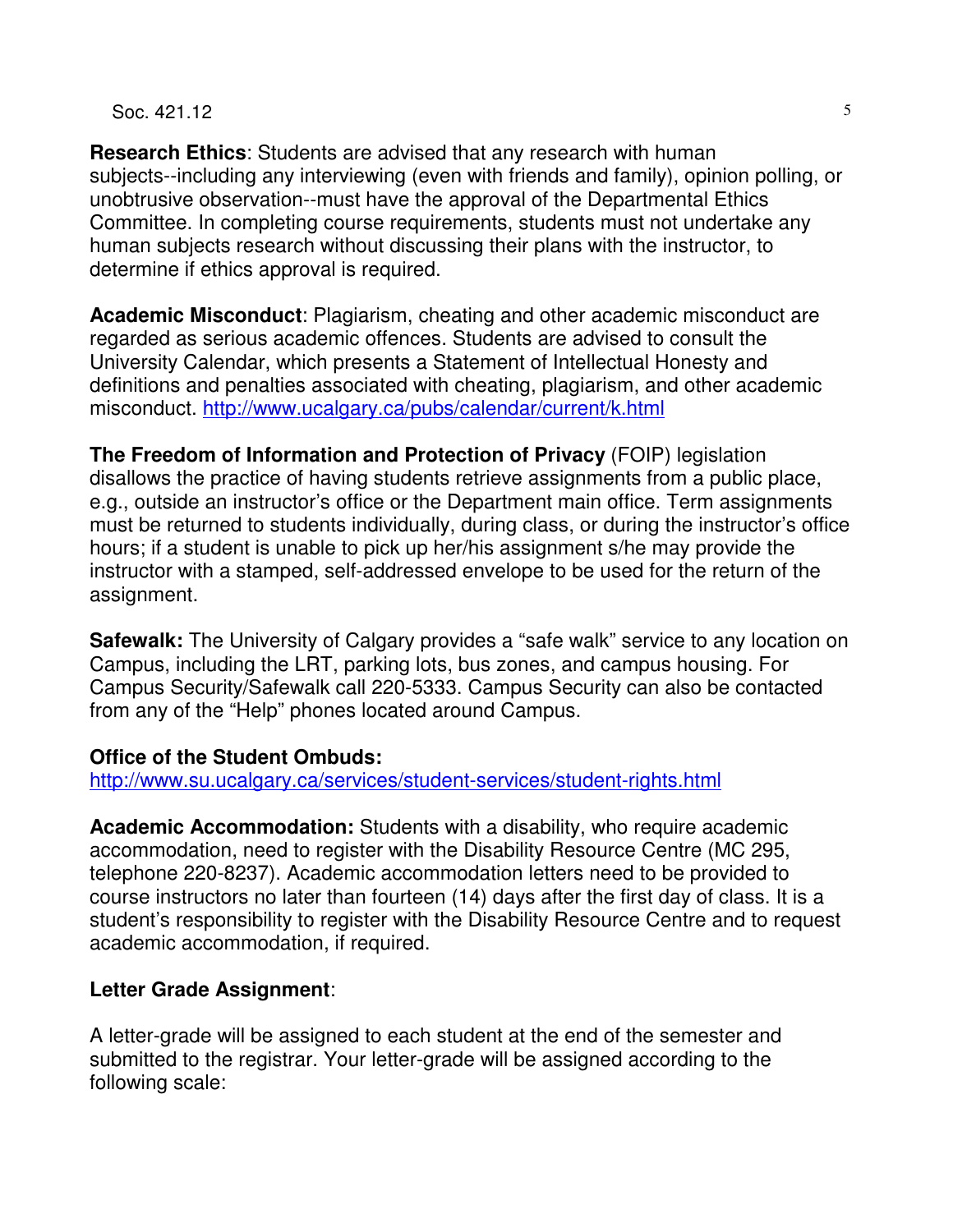#### $\text{Soc. 421.12}$   $\qquad \qquad \text{5}$

**Research Ethics**: Students are advised that any research with human subjects--including any interviewing (even with friends and family), opinion polling, or unobtrusive observation--must have the approval of the Departmental Ethics Committee. In completing course requirements, students must not undertake any human subjects research without discussing their plans with the instructor, to determine if ethics approval is required.

**Academic Misconduct**: Plagiarism, cheating and other academic misconduct are regarded as serious academic offences. Students are advised to consult the University Calendar, which presents a Statement of Intellectual Honesty and definitions and penalties associated with cheating, plagiarism, and other academic misconduct. http://www.ucalgary.ca/pubs/calendar/current/k.html

**The Freedom of Information and Protection of Privacy** (FOIP) legislation disallows the practice of having students retrieve assignments from a public place, e.g., outside an instructor's office or the Department main office. Term assignments must be returned to students individually, during class, or during the instructor's office hours; if a student is unable to pick up her/his assignment s/he may provide the instructor with a stamped, self-addressed envelope to be used for the return of the assignment.

**Safewalk:** The University of Calgary provides a "safe walk" service to any location on Campus, including the LRT, parking lots, bus zones, and campus housing. For Campus Security/Safewalk call 220-5333. Campus Security can also be contacted from any of the "Help" phones located around Campus.

#### **Office of the Student Ombuds:**

http://www.su.ucalgary.ca/services/student-services/student-rights.html

**Academic Accommodation:** Students with a disability, who require academic accommodation, need to register with the Disability Resource Centre (MC 295, telephone 220-8237). Academic accommodation letters need to be provided to course instructors no later than fourteen (14) days after the first day of class. It is a student's responsibility to register with the Disability Resource Centre and to request academic accommodation, if required.

#### **Letter Grade Assignment**:

A letter-grade will be assigned to each student at the end of the semester and submitted to the registrar. Your letter-grade will be assigned according to the following scale: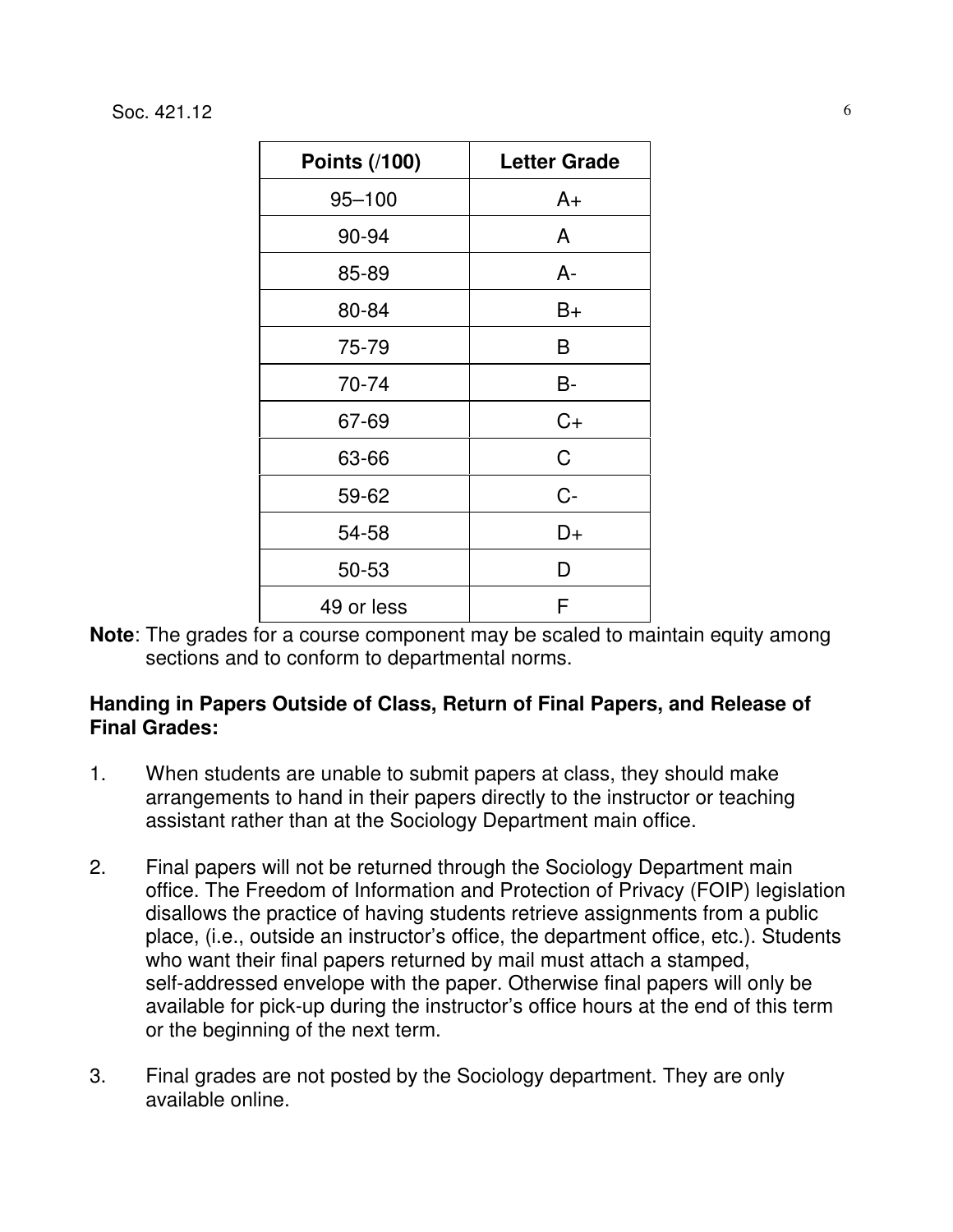$\text{Soc. } 421.12$  6

| <b>Points (/100)</b> | <b>Letter Grade</b> |
|----------------------|---------------------|
| $95 - 100$           | A+                  |
| 90-94                | A                   |
| 85-89                | A-                  |
| 80-84                | B+                  |
| 75-79                | Β                   |
| 70-74                | B-                  |
| 67-69                | $C+$                |
| 63-66                | C                   |
| 59-62                | $C -$               |
| 54-58                | D+                  |
| 50-53                | D                   |
| 49 or less           | F                   |

**Note**: The grades for a course component may be scaled to maintain equity among sections and to conform to departmental norms.

#### **Handing in Papers Outside of Class, Return of Final Papers, and Release of Final Grades:**

- 1. When students are unable to submit papers at class, they should make arrangements to hand in their papers directly to the instructor or teaching assistant rather than at the Sociology Department main office.
- 2. Final papers will not be returned through the Sociology Department main office. The Freedom of Information and Protection of Privacy (FOIP) legislation disallows the practice of having students retrieve assignments from a public place, (i.e., outside an instructor's office, the department office, etc.). Students who want their final papers returned by mail must attach a stamped, self-addressed envelope with the paper. Otherwise final papers will only be available for pick-up during the instructor's office hours at the end of this term or the beginning of the next term.
- 3. Final grades are not posted by the Sociology department. They are only available online.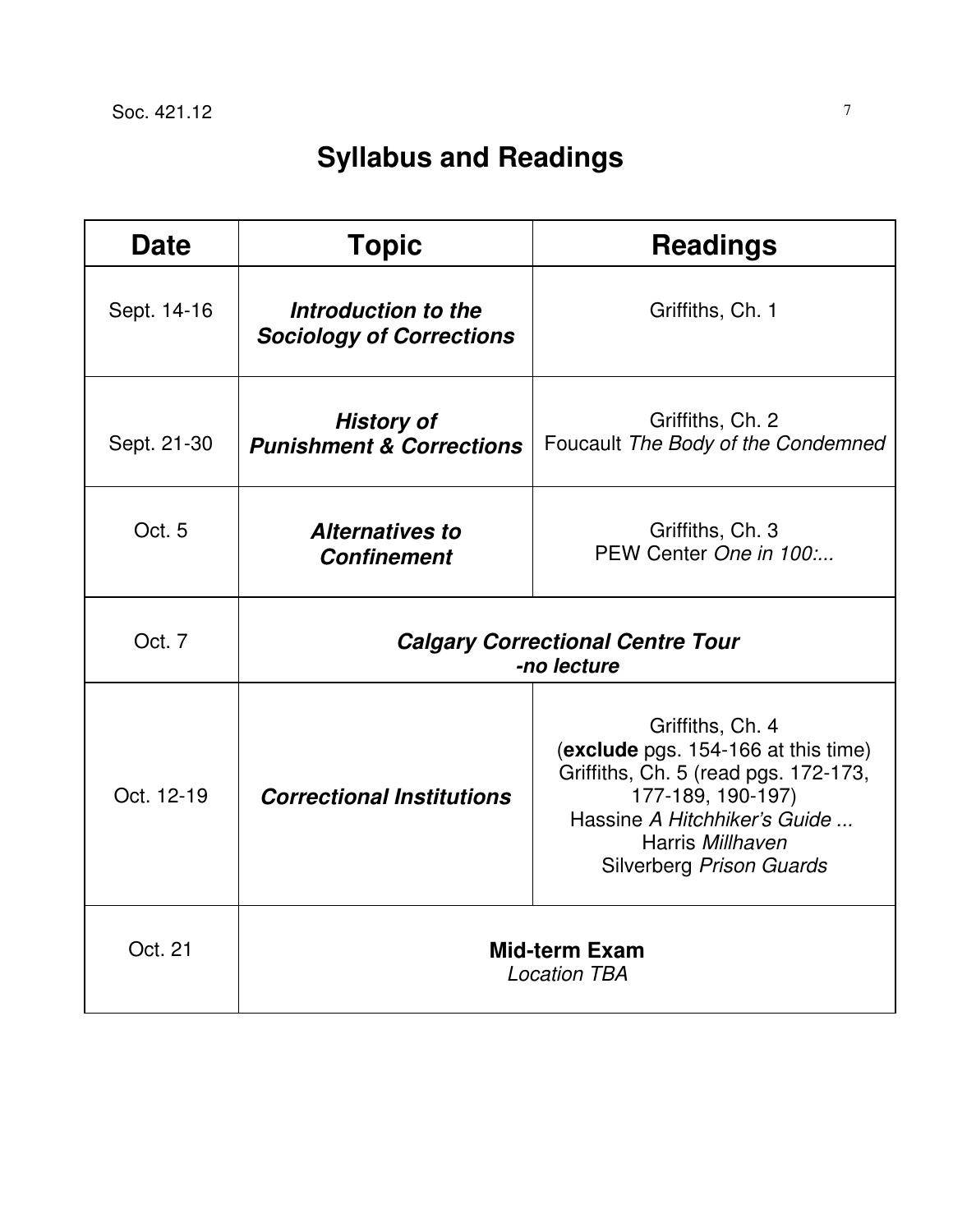# **Syllabus and Readings**

| <b>Date</b> | <b>Topic</b>                                             | <b>Readings</b>                                                                                                                                                                                      |  |
|-------------|----------------------------------------------------------|------------------------------------------------------------------------------------------------------------------------------------------------------------------------------------------------------|--|
| Sept. 14-16 | Introduction to the<br><b>Sociology of Corrections</b>   | Griffiths, Ch. 1                                                                                                                                                                                     |  |
| Sept. 21-30 | <b>History of</b><br><b>Punishment &amp; Corrections</b> | Griffiths, Ch. 2<br>Foucault The Body of the Condemned                                                                                                                                               |  |
| Oct. 5      | <b>Alternatives to</b><br><b>Confinement</b>             | Griffiths, Ch. 3<br>PEW Center One in 100:                                                                                                                                                           |  |
| Oct. 7      | <b>Calgary Correctional Centre Tour</b><br>-no lecture   |                                                                                                                                                                                                      |  |
| Oct. 12-19  | <b>Correctional Institutions</b>                         | Griffiths, Ch. 4<br>(exclude pgs. 154-166 at this time)<br>Griffiths, Ch. 5 (read pgs. 172-173,<br>177-189, 190-197)<br>Hassine A Hitchhiker's Guide<br>Harris Millhaven<br>Silverberg Prison Guards |  |
| Oct. 21     | <b>Mid-term Exam</b><br><b>Location TBA</b>              |                                                                                                                                                                                                      |  |